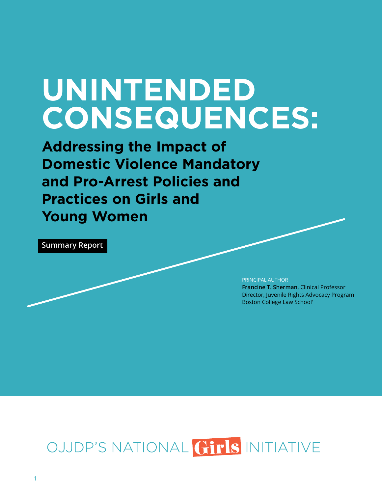# **UNINTENDED CONSEQUENCES:**

**Addressing the Impact of Domestic Violence Mandatory and Pro-Arrest Policies and Practices on Girls and Young Women** 

**Summary Report** 

PRINCIPAL AUTHOR

**Francine T. Sherman**, Clinical Professor Director, Juvenile Rights Advocacy Program Boston College Law School1

## OJJDP'S NATIONAL GIPIS INITIATIVE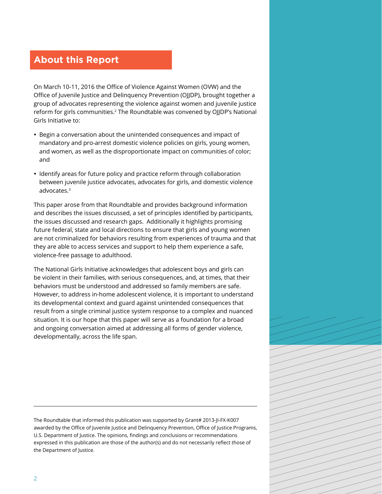## **About this Report**

On March 10-11, 2016 the Office of Violence Against Women (OVW) and the Office of Juvenile Justice and Delinquency Prevention (OJJDP), brought together a group of advocates representing the violence against women and juvenile justice reform for girls communities.<sup>2</sup> The Roundtable was convened by OJJDP's National Girls Initiative to:

- Begin a conversation about the unintended consequences and impact of mandatory and pro-arrest domestic violence policies on girls, young women, and women, as well as the disproportionate impact on communities of color; and
- Identify areas for future policy and practice reform through collaboration between juvenile justice advocates, advocates for girls, and domestic violence advocates.3

This paper arose from that Roundtable and provides background information and describes the issues discussed, a set of principles identified by participants, the issues discussed and research gaps. Additionally it highlights promising future federal, state and local directions to ensure that girls and young women are not criminalized for behaviors resulting from experiences of trauma and that they are able to access services and support to help them experience a safe, violence-free passage to adulthood.

The National Girls Initiative acknowledges that adolescent boys and girls can be violent in their families, with serious consequences, and, at times, that their behaviors must be understood and addressed so family members are safe. However, to address in-home adolescent violence, it is important to understand its developmental context and guard against unintended consequences that result from a single criminal justice system response to a complex and nuanced situation. It is our hope that this paper will serve as a foundation for a broad and ongoing conversation aimed at addressing all forms of gender violence, developmentally, across the life span.

The Roundtable that informed this publication was supported by Grant# 2013-JI-FX-K007 awarded by the Office of Juvenile Justice and Delinquency Prevention, Office of Justice Programs, U.S. Department of Justice. The opinions, findings and conclusions or recommendations expressed in this publication are those of the author(s) and do not necessarily reflect those of the Department of Justice.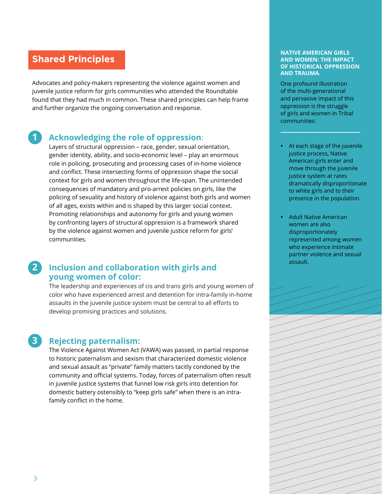#### **Shared Principles**

Advocates and policy-makers representing the violence against women and juvenile justice reform for girls communities who attended the Roundtable found that they had much in common. These shared principles can help frame and further organize the ongoing conversation and response.

#### **1 Acknowledging the role of oppression**:

Layers of structural oppression – race, gender, sexual orientation, gender identity, ability, and socio-economic level – play an enormous role in policing, prosecuting and processing cases of in-home violence and conflict. These intersecting forms of oppression shape the social context for girls and women throughout the life-span. The unintended consequences of mandatory and pro-arrest policies on girls, like the policing of sexuality and history of violence against both girls and women of all ages, exists within and is shaped by this larger social context. Promoting relationships and autonomy for girls and young women by confronting layers of structural oppression is a framework shared by the violence against women and juvenile justice reform for girls' communities.

#### **2 Inclusion and collaboration with girls and young women of color:**

The leadership and experiences of cis and trans girls and young women of color who have experienced arrest and detention for intra-family in-home assaults in the juvenile justice system must be central to all efforts to develop promising practices and solutions.

#### **3 Rejecting paternalism:**

The Violence Against Women Act (VAWA) was passed, in partial response to historic paternalism and sexism that characterized domestic violence and sexual assault as "private" family matters tacitly condoned by the community and official systems. Today, forces of paternalism often result in juvenile justice systems that funnel low risk girls into detention for domestic battery ostensibly to "keep girls safe" when there is an intrafamily conflict in the home.

#### **NATIVE AMERICAN GIRLS AND WOMEN: THE IMPACT OF HISTORICAL OPPRESSION AND TRAUMA.**

One profound illustration of the multi-generational and pervasive impact of this oppression is the struggle of girls and women in Tribal communities:

- • At each stage of the juvenile justice process, Native American girls enter and move through the juvenile justice system at rates dramatically disproportionate to white girls and to their presence in the population.
- **Adult Native American** women are also disproportionately represented among women who experience intimate partner violence and sexual assault.

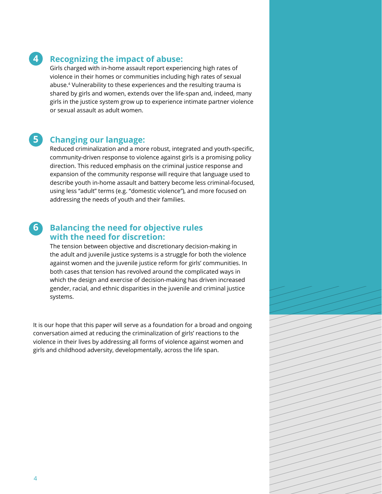#### **4 Recognizing the impact of abuse:**

Girls charged with in-home assault report experiencing high rates of violence in their homes or communities including high rates of sexual abuse.<sup>4</sup> Vulnerability to these experiences and the resulting trauma is shared by girls and women, extends over the life-span and, indeed, many girls in the justice system grow up to experience intimate partner violence or sexual assault as adult women.

#### **5 Changing our language:**

Reduced criminalization and a more robust, integrated and youth-specific, community-driven response to violence against girls is a promising policy direction. This reduced emphasis on the criminal justice response and expansion of the community response will require that language used to describe youth in-home assault and battery become less criminal-focused, using less "adult" terms (e.g. "domestic violence"), and more focused on addressing the needs of youth and their families.

#### **6 Balancing the need for objective rules with the need for discretion:**

The tension between objective and discretionary decision-making in the adult and juvenile justice systems is a struggle for both the violence against women and the juvenile justice reform for girls' communities. In both cases that tension has revolved around the complicated ways in which the design and exercise of decision-making has driven increased gender, racial, and ethnic disparities in the juvenile and criminal justice systems.

It is our hope that this paper will serve as a foundation for a broad and ongoing conversation aimed at reducing the criminalization of girls' reactions to the violence in their lives by addressing all forms of violence against women and girls and childhood adversity, developmentally, across the life span.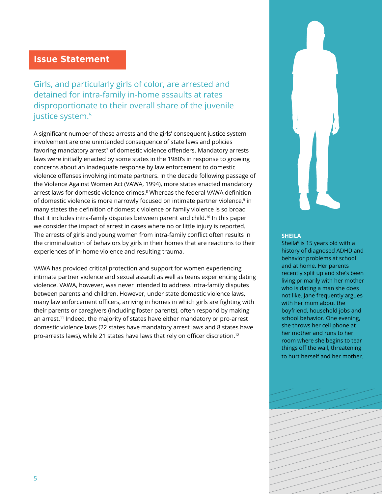#### **Issue Statement**

Girls, and particularly girls of color, are arrested and detained for intra-family in-home assaults at rates disproportionate to their overall share of the juvenile justice system.<sup>5</sup>

A significant number of these arrests and the girls' consequent justice system involvement are one unintended consequence of state laws and policies favoring mandatory arrest<sup>7</sup> of domestic violence offenders. Mandatory arrests laws were initially enacted by some states in the 1980's in response to growing concerns about an inadequate response by law enforcement to domestic violence offenses involving intimate partners. In the decade following passage of the Violence Against Women Act (VAWA, 1994), more states enacted mandatory arrest laws for domestic violence crimes.<sup>8</sup> Whereas the federal VAWA definition of domestic violence is more narrowly focused on intimate partner violence,<sup>9</sup> in many states the definition of domestic violence or family violence is so broad that it includes intra-family disputes between parent and child.<sup>10</sup> In this paper we consider the impact of arrest in cases where no or little injury is reported. The arrests of girls and young women from intra-family conflict often results in the criminalization of behaviors by girls in their homes that are reactions to their experiences of in-home violence and resulting trauma.

VAWA has provided critical protection and support for women experiencing intimate partner violence and sexual assault as well as teens experiencing dating violence. VAWA, however, was never intended to address intra-family disputes between parents and children. However, under state domestic violence laws, many law enforcement officers, arriving in homes in which girls are fighting with their parents or caregivers (including foster parents), often respond by making an arrest.<sup>11</sup> Indeed, the majority of states have either mandatory or pro-arrest domestic violence laws (22 states have mandatory arrest laws and 8 states have pro-arrests laws), while 21 states have laws that rely on officer discretion.<sup>12</sup>



#### **SHEILA**

Sheila<sup>6</sup> is 15 years old with a history of diagnosed ADHD and behavior problems at school and at home. Her parents recently split up and she's been living primarily with her mother who is dating a man she does not like. Jane frequently argues with her mom about the boyfriend, household jobs and school behavior. One evening, she throws her cell phone at her mother and runs to her room where she begins to tear things off the wall, threatening to hurt herself and her mother.

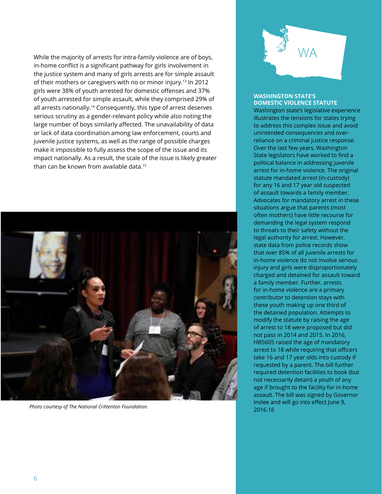While the majority of arrests for intra-family violence are of boys, in-home conflict is a significant pathway for girls involvement in the justice system and many of girls arrests are for simple assault of their mothers or caregivers with no or minor injury.<sup>13</sup> In 2012 girls were 38% of youth arrested for domestic offenses and 37% of youth arrested for simple assault, while they comprised 29% of all arrests nationally.<sup>14</sup> Consequently, this type of arrest deserves serious scrutiny as a gender-relevant policy while also noting the large number of boys similarly affected. The unavailability of data or lack of data coordination among law enforcement, courts and juvenile justice systems, as well as the range of possible charges make it impossible to fully assess the scope of the issue and its impact nationally. As a result, the scale of the issue is likely greater than can be known from available data.<sup>15</sup>



*Photo courtesy of The National Crittenton Foundation.* 



#### **WASHINGTON STATE'S DOMESTIC VIOLENCE STATUTE**

Washington state's legislative experience illustrates the tensions for states trying to address this complex issue and avoid unintended consequences and overreliance on a criminal justice response. Over the last few years, Washington State legislators have worked to find a political balance in addressing juvenile arrest for in-home violence. The original statute mandated arrest (in-custody) for any 16 and 17 year old suspected of assault towards a family member. Advocates for mandatory arrest in these situations argue that parents (most often mothers) have little recourse for demanding the legal system respond to threats to their safety without the legal authority for arrest. However, state data from police records show that over 85% of all juvenile arrests for in-home violence do not involve serious injury and girls were disproportionately charged and detained for assault toward a family member. Further, arrests for in-home violence are a primary contributor to detention stays with these youth making up one third of the detained population. Attempts to modify the statute by raising the age of arrest to 18 were proposed but did not pass in 2014 and 2015. In 2016, HB5605 raised the age of mandatory arrest to 18 while requiring that officers take 16 and 17 year olds into custody if requested by a parent. The bill further required detention facilities to book (but not necessarily detain) a youth of any age if brought to the facility for in-home assault. The bill was signed by Governor Inslee and will go into effect June 9, 2016.16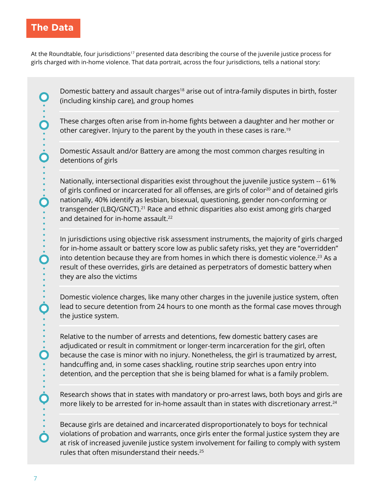#### **The Data**

At the Roundtable, four jurisdictions<sup>17</sup> presented data describing the course of the juvenile justice process for girls charged with in-home violence. That data portrait, across the four jurisdictions, tells a national story:

Domestic battery and assault charges<sup>18</sup> arise out of intra-family disputes in birth, foster (including kinship care), and group homes

These charges often arise from in-home fights between a daughter and her mother or other caregiver. Injury to the parent by the youth in these cases is rare.<sup>19</sup>

Domestic Assault and/or Battery are among the most common charges resulting in detentions of girls

Nationally, intersectional disparities exist throughout the juvenile justice system -- 61% of girls confined or incarcerated for all offenses, are girls of color<sup>20</sup> and of detained girls nationally, 40% identify as lesbian, bisexual, questioning, gender non-conforming or transgender (LBQ/GNCT).<sup>21</sup> Race and ethnic disparities also exist among girls charged and detained for in-home assault.<sup>22</sup>

In jurisdictions using objective risk assessment instruments, the majority of girls charged for in-home assault or battery score low as public safety risks, yet they are "overridden" into detention because they are from homes in which there is domestic violence.<sup>23</sup> As a result of these overrides, girls are detained as perpetrators of domestic battery when they are also the victims

Domestic violence charges, like many other charges in the juvenile justice system, often lead to secure detention from 24 hours to one month as the formal case moves through the justice system.

Relative to the number of arrests and detentions, few domestic battery cases are adjudicated or result in commitment or longer-term incarceration for the girl, often because the case is minor with no injury. Nonetheless, the girl is traumatized by arrest, handcuffing and, in some cases shackling, routine strip searches upon entry into detention, and the perception that she is being blamed for what is a family problem.

Research shows that in states with mandatory or pro-arrest laws, both boys and girls are more likely to be arrested for in-home assault than in states with discretionary arrest.<sup>24</sup>

Because girls are detained and incarcerated disproportionately to boys for technical violations of probation and warrants, once girls enter the formal justice system they are at risk of increased juvenile justice system involvement for failing to comply with system rules that often misunderstand their needs.25

 $\overline{\mathbf{O}}$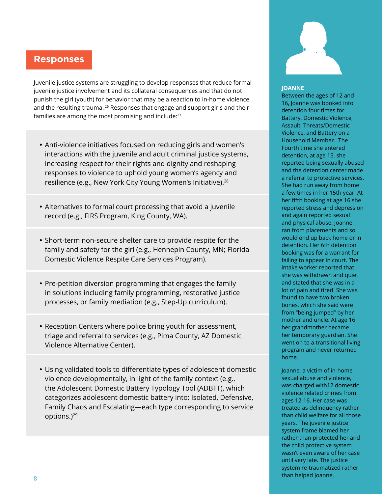### **Responses**

Juvenile justice systems are struggling to develop responses that reduce formal juvenile justice involvement and its collateral consequences and that do not punish the girl (youth) for behavior that may be a reaction to in-home violence and the resulting trauma.<sup>26</sup> Responses that engage and support girls and their families are among the most promising and include:<sup>27</sup>

- Anti-violence initiatives focused on reducing girls and women's interactions with the juvenile and adult criminal justice systems, increasing respect for their rights and dignity and reshaping responses to violence to uphold young women's agency and resilience (e.g., New York City Young Women's Initiative).<sup>28</sup>
- Alternatives to formal court processing that avoid a juvenile record (e.g., FIRS Program, King County, WA).
- Short-term non-secure shelter care to provide respite for the family and safety for the girl (e.g., Hennepin County, MN; Florida Domestic Violence Respite Care Services Program).
- Pre-petition diversion programming that engages the family in solutions including family programming, restorative justice processes, or family mediation (e.g., Step-Up curriculum).
- Reception Centers where police bring youth for assessment, triage and referral to services (e.g., Pima County, AZ Domestic Violence Alternative Center).
- Using validated tools to differentiate types of adolescent domestic violence developmentally, in light of the family context (e.g., the Adolescent Domestic Battery Typology Tool (ADBTT), which categorizes adolescent domestic battery into: Isolated, Defensive, Family Chaos and Escalating—each type corresponding to service options.)<sup>29</sup>



#### **JOANNE**

Between the ages of 12 and 16, Joanne was booked into detention four times for Battery, Domestic Violence, Assault, Threats/Domestic Violence, and Battery on a Household Member. The Fourth time she entered detention, at age 15, she reported being sexually abused and the detention center made a referral to protective services. She had run away from home a few times in her 15th year. At her fifth booking at age 16 she reported stress and depression and again reported sexual and physical abuse. Joanne ran from placements and so would end up back home or in detention. Her 6th detention booking was for a warrant for failing to appear in court. The intake worker reported that she was withdrawn and quiet and stated that she was in a lot of pain and tired. She was found to have two broken bones, which she said were from "being jumped" by her mother and uncle. At age 16 her grandmother became her temporary guardian. She went on to a transitional living program and never returned home.

Joanne, a victim of in-home sexual abuse and violence, was charged with12 domestic violence related crimes from ages 12-16. Her case was treated as delinquency rather than child welfare for all those years. The juvenile justice system frame blamed her rather than protected her and the child protective system wasn't even aware of her case until very late. The justice system re-traumatized rather than helped Joanne.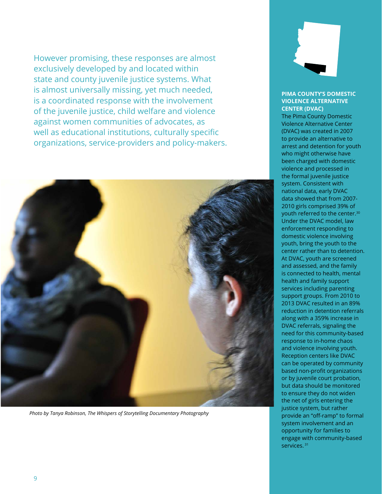However promising, these responses are almost exclusively developed by and located within state and county juvenile justice systems. What is almost universally missing, yet much needed, is a coordinated response with the involvement of the juvenile justice, child welfare and violence against women communities of advocates, as well as educational institutions, culturally specific organizations, service-providers and policy-makers.



*Photo by Tanya Robinson, The Whispers of Storytelling Documentary Photography* 



#### **PIMA COUNTY'S DOMESTIC VIOLENCE ALTERNATIVE CENTER (DVAC)**

The Pima County Domestic Violence Alternative Center (DVAC) was created in 2007 to provide an alternative to arrest and detention for youth who might otherwise have been charged with domestic violence and processed in the formal juvenile justice system. Consistent with national data, early DVAC data showed that from 2007- 2010 girls comprised 39% of youth referred to the center.30 Under the DVAC model, law enforcement responding to domestic violence involving youth, bring the youth to the center rather than to detention. At DVAC, youth are screened and assessed, and the family is connected to health, mental health and family support services including parenting support groups. From 2010 to 2013 DVAC resulted in an 89% reduction in detention referrals along with a 359% increase in DVAC referrals, signaling the need for this community-based response to in-home chaos and violence involving youth. Reception centers like DVAC can be operated by community based non-profit organizations or by juvenile court probation, but data should be monitored to ensure they do not widen the net of girls entering the justice system, but rather provide an "off-ramp" to formal system involvement and an opportunity for families to engage with community-based services. 31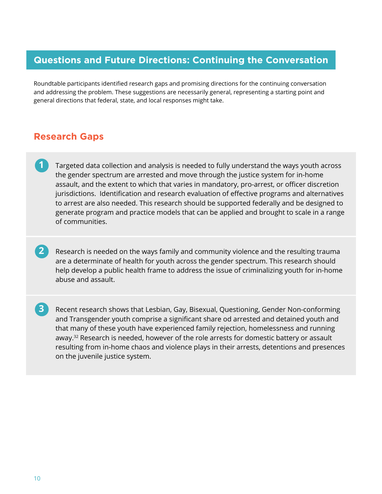#### **Questions and Future Directions: Continuing the Conversation**

Roundtable participants identified research gaps and promising directions for the continuing conversation and addressing the problem. These suggestions are necessarily general, representing a starting point and general directions that federal, state, and local responses might take.

#### **Research Gaps**

- **1** Targeted data collection and analysis is needed to fully understand the ways youth across the gender spectrum are arrested and move through the justice system for in-home assault, and the extent to which that varies in mandatory, pro-arrest, or officer discretion jurisdictions. Identification and research evaluation of effective programs and alternatives to arrest are also needed. This research should be supported federally and be designed to generate program and practice models that can be applied and brought to scale in a range of communities.
- **2** Research is needed on the ways family and community violence and the resulting trauma are a determinate of health for youth across the gender spectrum. This research should help develop a public health frame to address the issue of criminalizing youth for in-home abuse and assault.
- **3** Recent research shows that Lesbian, Gay, Bisexual, Questioning, Gender Non-conforming and Transgender youth comprise a significant share od arrested and detained youth and that many of these youth have experienced family rejection, homelessness and running away.<sup>32</sup> Research is needed, however of the role arrests for domestic battery or assault resulting from in-home chaos and violence plays in their arrests, detentions and presences on the juvenile justice system.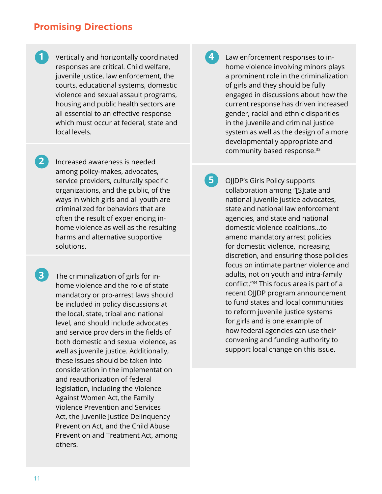#### **Promising Directions**

- **1 Vertically and horizontally coordinated** responses are critical. Child welfare, juvenile justice, law enforcement, the courts, educational systems, domestic violence and sexual assault programs, housing and public health sectors are all essential to an effective response which must occur at federal, state and local levels.
- **2** Increased awareness is needed among policy-makes, advocates, service providers, culturally specific organizations, and the public, of the ways in which girls and all youth are criminalized for behaviors that are often the result of experiencing inhome violence as well as the resulting harms and alternative supportive solutions.
	- **3** The criminalization of girls for inhome violence and the role of state mandatory or pro-arrest laws should be included in policy discussions at the local, state, tribal and national level, and should include advocates and service providers in the fields of both domestic and sexual violence, as well as juvenile justice. Additionally, these issues should be taken into consideration in the implementation and reauthorization of federal legislation, including the Violence Against Women Act, the Family Violence Prevention and Services Act, the Juvenile Justice Delinquency Prevention Act, and the Child Abuse Prevention and Treatment Act, among others.
- **4**  Law enforcement responses to inhome violence involving minors plays a prominent role in the criminalization of girls and they should be fully engaged in discussions about how the current response has driven increased gender, racial and ethnic disparities in the juvenile and criminal justice system as well as the design of a more developmentally appropriate and community based response.<sup>33</sup>
- **5**  OJJDP's Girls Policy supports collaboration among "[S]tate and national juvenile justice advocates, state and national law enforcement agencies, and state and national domestic violence coalitions…to amend mandatory arrest policies for domestic violence, increasing discretion, and ensuring those policies focus on intimate partner violence and adults, not on youth and intra-family conflict."34 This focus area is part of a recent OJJDP program announcement to fund states and local communities to reform juvenile justice systems for girls and is one example of how federal agencies can use their convening and funding authority to support local change on this issue.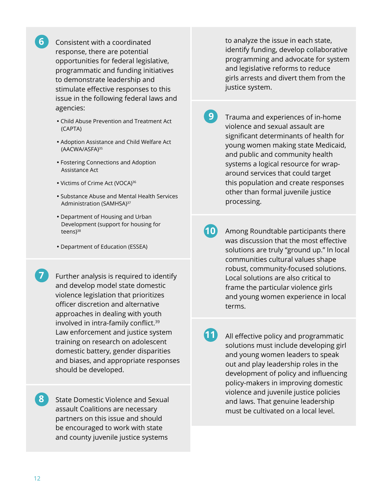Consistent with a coordinated response, there are potential opportunities for federal legislative, programmatic and funding initiatives to demonstrate leadership and stimulate effective responses to this issue in the following federal laws and agencies:

**6** 

- Child Abuse Prevention and Treatment Act (CAPTA)
- Adoption Assistance and Child Welfare Act (AACWA/ASFA)<sup>35</sup>
- Fostering Connections and Adoption Assistance Act
- Victims of Crime Act (VOCA)<sup>36</sup>
- Substance Abuse and Mental Health Services Administration (SAMHSA)37
- Department of Housing and Urban Development (support for housing for teens $)^{38}$
- Department of Education (ESSEA)
- Further analysis is required to identify and develop model state domestic violence legislation that prioritizes officer discretion and alternative approaches in dealing with youth involved in intra-family conflict.39 Law enforcement and justice system training on research on adolescent domestic battery, gender disparities and biases, and appropriate responses should be developed.
- **8**  State Domestic Violence and Sexual assault Coalitions are necessary partners on this issue and should be encouraged to work with state and county juvenile justice systems

to analyze the issue in each state, identify funding, develop collaborative programming and advocate for system and legislative reforms to reduce girls arrests and divert them from the justice system.

- **9**  Trauma and experiences of in-home violence and sexual assault are significant determinants of health for young women making state Medicaid, and public and community health systems a logical resource for wraparound services that could target this population and create responses other than formal juvenile justice processing.
- **10** Among Roundtable participants there was discussion that the most effective solutions are truly "ground up." In local communities cultural values shape robust, community-focused solutions. Local solutions are also critical to frame the particular violence girls and young women experience in local terms.
	- **11** All effective policy and programmatic solutions must include developing girl and young women leaders to speak out and play leadership roles in the development of policy and influencing policy-makers in improving domestic violence and juvenile justice policies and laws. That genuine leadership must be cultivated on a local level.

**7**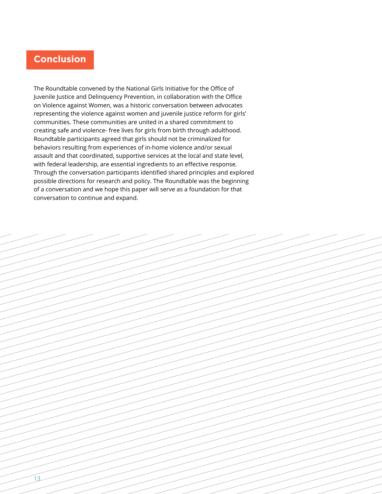

The Roundtable convened by the National Girls Initiative for the Office of Juvenile Justice and Delinquency Prevention, in collaboration with the Office on Violence against Women, was a historic conversation between advocates representing the violence against women and juvenile justice reform for girls' communities. These communities are united in a shared commitment to creating safe and violence- free lives for girls from birth through adulthood. Roundtable participants agreed that girls should not be criminalized for behaviors resulting from experiences of in-home violence and/or sexual assault and that coordinated, supportive services at the local and state level, with federal leadership, are essential ingredients to an effective response. Through the conversation participants identified shared principles and explored possible directions for research and policy. The Roundtable was the beginning of a conversation and we hope this paper will serve as a foundation for that conversation to continue and expand.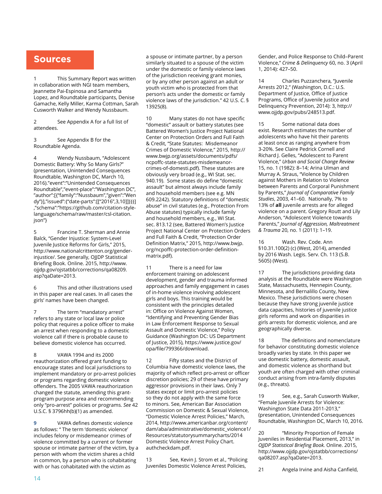#### **Sources**

This Summary Report was written in collaboration with NGI team members, Jeannette Pai-Espinosa and Samantha Lopez, and Roundtable participants, Denise Gamache, Kelly Miller, Karma Cottman, Sarah Cusworth Walker and Wendy Nussbaum.

2 See Appendix A for a full list of attendees.

3 See Appendix B for the Roundtable Agenda.

4 Wendy Nussbaum, "Adolescent Domestic Battery: Why So Many Girls?" (presentation, Unintended Consequences Roundtable, Washington DC, March 10, 2016)."event":"Unintended Consequences Roundtable","event-place":"Washington DC", "author":[{"family":"Nussbaum","given":"Wen dy"}],"issued":{"date-parts":[["2016",3,10]]}}}] ,"schema":"https://github.com/citation-stylelanguage/schema/raw/master/csl-citation. json"}

5 Francine T. Sherman and Annie Balck, "Gender Injustice: System-Level Juvenile Justice Reforms for Girls," 2015, http://www.nationalcrittenton.org/genderinjustice/. See generally, OJJDP Statistical Briefing Book. Online. 2015, http://www. ojjdp.gov/ojstatbb/corrections/qa08209. asp?qaDate=2013.

6 This and other illustrations used in this paper are real cases. In all cases the girls' names have been changed.

7 The term "mandatory arrest" refers to any state or local law or police policy that requires a police officer to make an arrest when responding to a domestic violence call if there is probable cause to believe domestic violence has occurred.

8 VAWA 1994 and its 2000 reauthorization offered grant funding to encourage states and local jurisdictions to implement mandatory or pro-arrest policies or programs regarding domestic violence offenders. The 2005 VAWA reauthorization changed the statute, amending this grantprogram purpose area and recommending only "pro-arrest" policies or programs. *See* 42 U.S.C. § 3796hh(b)(1) as amended.

**9** VAWA defines domestic violence as follows: " The term 'domestic violence' includes felony or misdemeanor crimes of violence committed by a current or former spouse or intimate partner of the victim, by a person with whom the victim shares a child in common, by a person who is cohabitating with or has cohabitated with the victim as

a spouse or intimate partner, by a person similarly situated to a spouse of the victim under the domestic or family violence laws of the jurisdiction receiving grant monies, or by any other person against an adult or youth victim who is protected from that person's acts under the domestic or family violence laws of the jurisdiction." 42 U.S. C. § 13925(8).

10 Many states do not have specific "domestic" assault or battery statutes (see Battered Women's Justice Project National Center on Protection Orders and Full Faith & Credit, "State Statutes: Misdemeanor Crimes of Domestic Violence," 2015, http:// www.bwjp.org/assets/documents/pdfs/ ncpoffc-state-statutes-misdemeanorcrimes-of-domesti.pdf). These statutes are obviously very broad (e.g., WI Stat. sec. 940.19). Some states do define "domestic assault" but almost always include family and household members (see e.g. MN 609.2242). Statutory definitions of "domestic abuse" in civil statutes (e.g., Protection From Abuse statutes) typically include family and household members, e.g., WI Stat. sec. 813.12 (see, Battered Women's Justice Project National Center on Protection Orders and Full Faith & Credit, "Protection Order Definition Matrix," 2015, http://www.bwjp. org/ncpoffc-protection-order-definitionmatrix.pdf).

11 There is a need for law enforcement training on adolescent development, gender and trauma informed approaches and family engagement in cases of in-home violence involving adolescent girls and boys. This training would be consistent with the principles detailed in: Office on Violence Against Women, "Identifying and Preventing Gender Bias in Law Enforcement Response to Sexual Assault and Domestic Violence," Policy Guidance (Washington DC: US Department of Justice, 2015), https://www.justice.gov/ opa/file/799366/download.

12 Fifty states and the District of Columbia have domestic violence laws, the majority of which reflect pro-arrest or officer discretion policies; 29 of these have primary aggressor provisions in their laws. Only 7 states except or limit pro-arrest policies so they do not apply with the same force to minors. See, American Bar Association Commission on Domestic & Sexual Violence, "Domestic Violence Arrest Policies," March, 2014, http://www.americanbar.org/content/ dam/aba/administrative/domestic\_violence1/ Resources/statutorysummarycharts/2014 Domestic Violence Arrest Policy Chart. authcheckdam.pdf.

13 See, Kevin J. Strom et al., "Policing Juveniles Domestic Violence Arrest Policies,

Gender, and Police Response to Child–Parent Violence," *Crime & Delinquency* 60, no. 3 (April 1, 2014): 427–50.

14 Charles Puzzanchera, "Juvenile Arrests 2012," (Washington, D.C.: U.S. Department of Justice, Office of Justice Programs, Office of Juvenile Justice and Delinquency Prevention, 2014): 3, http:// www.ojjdp.gov/pubs/248513.pdf.

15 Some national data does exist. Research estimates the number of adolescents who have hit their parents at least once as ranging anywhere from 3-20%. See Claire Pedrick Cornell and Richard J. Gelles, "Adolescent to Parent Violence," *Urban and Social Change Review*  15, no. 1 (1982): 8–14; Arina Ulman and Murray A. Straus, "Violence by Children against Mothers in Relation to Violence between Parents and Corporal Punishment by Parents," *Journal of Comparative Family Studies*, 2003, 41–60. Nationally, 7% to 13% of **all** juvenile arrests are for alleged violence on a parent. Gregory Routt and Lily Anderson, "Adolescent Violence towards Parents," *Journal of Aggression, Maltreatment & Trauma* 20, no. 1 (2011): 1–19.

16 Wash. Rev. Code. Ann §10.31.100(2) (c) (West, 2014), amended by 2016 Wash. Legis. Serv. Ch. 113 (S.B. 5605) (West).

17 The jurisdictions providing data analysis at the Roundtable were Washington State, Massachusetts, Hennepin County, Minnesota, and Bernalillo County, New Mexico. These jurisdictions were chosen because they have strong juvenile justice data capacities, histories of juvenile justice girls reforms and work on disparities in girls arrests for domestic violence, and are geographically diverse.

18 The definitions and nomenclature for behavior constituting domestic violence broadly varies by state. In this paper we use domestic battery, domestic assault, and domestic violence as shorthand but youth are often charged with other criminal conduct arising from intra-family disputes (e.g., threats).

19 See, e.g., Sarah Cusworth Walker, "Female Juvenile Arrests for Violence: Washington State Data 2011-2013," (presentation, Unintended Consequences Roundtable, Washington DC, March 10, 2016.

20 "Minority Proportion of Female Juveniles in Residential Placement, 2013," in *OJJDP Statistical Briefing Book.* Online. 2015, http://www.ojjdp.gov/ojstatbb/corrections/ qa08207.asp?qaDate=2013.

21 Angela Irvine and Aisha Canfield,